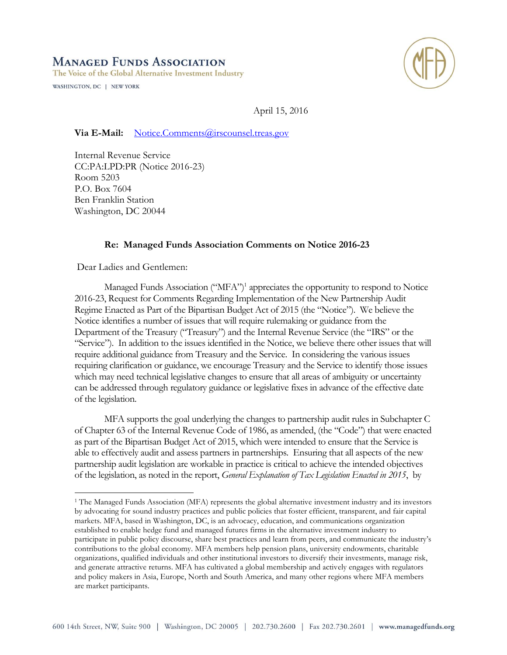# **MANAGED FUNDS ASSOCIATION**

The Voice of the Global Alternative Investment Industry

WASHINGTON, DC | NEW YORK



April 15, 2016

**Via E-Mail:** [Notice.Comments@irscounsel.treas.gov](mailto:Notice.Comments@irscounsel.treas.gov)

Internal Revenue Service CC:PA:LPD:PR (Notice 2016-23) Room 5203 P.O. Box 7604 Ben Franklin Station Washington, DC 20044

# **Re: Managed Funds Association Comments on Notice 2016-23**

Dear Ladies and Gentlemen:

 $\overline{a}$ 

Managed Funds Association ("MFA")<sup>1</sup> appreciates the opportunity to respond to Notice 2016-23, Request for Comments Regarding Implementation of the New Partnership Audit Regime Enacted as Part of the Bipartisan Budget Act of 2015 (the "Notice"). We believe the Notice identifies a number of issues that will require rulemaking or guidance from the Department of the Treasury ("Treasury") and the Internal Revenue Service (the "IRS" or the "Service"). In addition to the issues identified in the Notice, we believe there other issues that will require additional guidance from Treasury and the Service. In considering the various issues requiring clarification or guidance, we encourage Treasury and the Service to identify those issues which may need technical legislative changes to ensure that all areas of ambiguity or uncertainty can be addressed through regulatory guidance or legislative fixes in advance of the effective date of the legislation.

MFA supports the goal underlying the changes to partnership audit rules in Subchapter C of Chapter 63 of the Internal Revenue Code of 1986, as amended, (the "Code") that were enacted as part of the Bipartisan Budget Act of 2015, which were intended to ensure that the Service is able to effectively audit and assess partners in partnerships. Ensuring that all aspects of the new partnership audit legislation are workable in practice is critical to achieve the intended objectives of the legislation, as noted in the report, *General Explanation of Tax Legislation Enacted in 2015*, by

<sup>1</sup> The Managed Funds Association (MFA) represents the global alternative investment industry and its investors by advocating for sound industry practices and public policies that foster efficient, transparent, and fair capital markets. MFA, based in Washington, DC, is an advocacy, education, and communications organization established to enable hedge fund and managed futures firms in the alternative investment industry to participate in public policy discourse, share best practices and learn from peers, and communicate the industry's contributions to the global economy. MFA members help pension plans, university endowments, charitable organizations, qualified individuals and other institutional investors to diversify their investments, manage risk, and generate attractive returns. MFA has cultivated a global membership and actively engages with regulators and policy makers in Asia, Europe, North and South America, and many other regions where MFA members are market participants.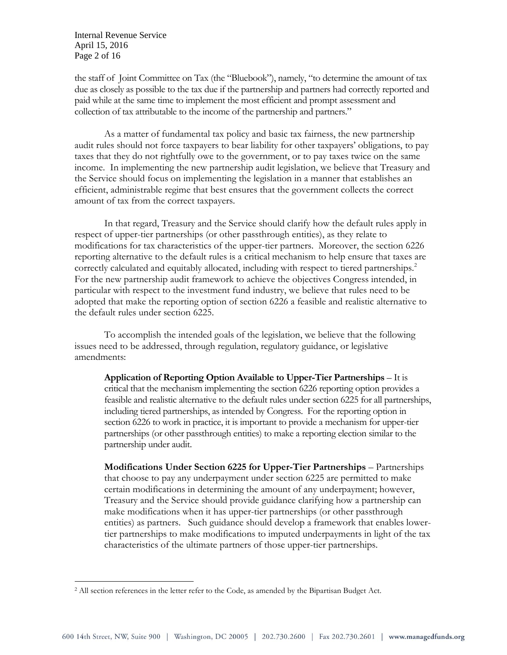Internal Revenue Service April 15, 2016 Page 2 of 16

 $\overline{a}$ 

the staff of Joint Committee on Tax (the "Bluebook"), namely, "to determine the amount of tax due as closely as possible to the tax due if the partnership and partners had correctly reported and paid while at the same time to implement the most efficient and prompt assessment and collection of tax attributable to the income of the partnership and partners."

As a matter of fundamental tax policy and basic tax fairness, the new partnership audit rules should not force taxpayers to bear liability for other taxpayers' obligations, to pay taxes that they do not rightfully owe to the government, or to pay taxes twice on the same income. In implementing the new partnership audit legislation, we believe that Treasury and the Service should focus on implementing the legislation in a manner that establishes an efficient, administrable regime that best ensures that the government collects the correct amount of tax from the correct taxpayers.

In that regard, Treasury and the Service should clarify how the default rules apply in respect of upper-tier partnerships (or other passthrough entities), as they relate to modifications for tax characteristics of the upper-tier partners. Moreover, the section 6226 reporting alternative to the default rules is a critical mechanism to help ensure that taxes are correctly calculated and equitably allocated, including with respect to tiered partnerships. 2 For the new partnership audit framework to achieve the objectives Congress intended, in particular with respect to the investment fund industry, we believe that rules need to be adopted that make the reporting option of section 6226 a feasible and realistic alternative to the default rules under section 6225.

To accomplish the intended goals of the legislation, we believe that the following issues need to be addressed, through regulation, regulatory guidance, or legislative amendments:

**Application of Reporting Option Available to Upper-Tier Partnerships** – It is critical that the mechanism implementing the section 6226 reporting option provides a feasible and realistic alternative to the default rules under section 6225 for all partnerships, including tiered partnerships, as intended by Congress. For the reporting option in section 6226 to work in practice, it is important to provide a mechanism for upper-tier partnerships (or other passthrough entities) to make a reporting election similar to the partnership under audit.

**Modifications Under Section 6225 for Upper-Tier Partnerships** – Partnerships that choose to pay any underpayment under section 6225 are permitted to make certain modifications in determining the amount of any underpayment; however, Treasury and the Service should provide guidance clarifying how a partnership can make modifications when it has upper-tier partnerships (or other passthrough entities) as partners. Such guidance should develop a framework that enables lowertier partnerships to make modifications to imputed underpayments in light of the tax characteristics of the ultimate partners of those upper-tier partnerships.

<sup>&</sup>lt;sup>2</sup> All section references in the letter refer to the Code, as amended by the Bipartisan Budget Act.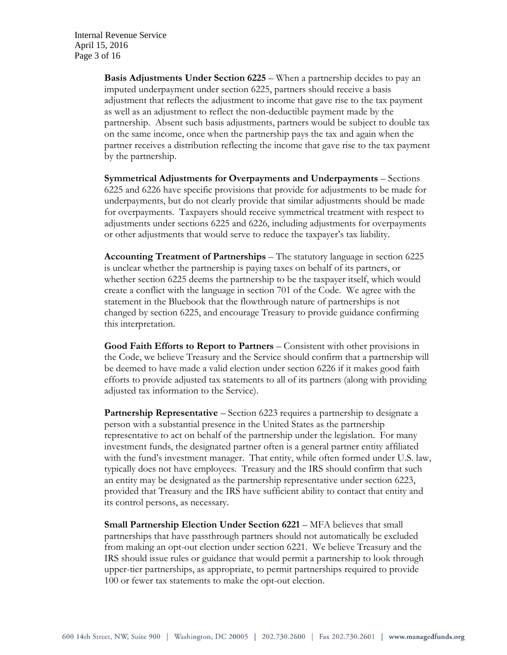**Basis Adjustments Under Section 6225** – When a partnership decides to pay an imputed underpayment under section 6225, partners should receive a basis adjustment that reflects the adjustment to income that gave rise to the tax payment as well as an adjustment to reflect the non-deductible payment made by the partnership. Absent such basis adjustments, partners would be subject to double tax on the same income, once when the partnership pays the tax and again when the partner receives a distribution reflecting the income that gave rise to the tax payment by the partnership.

**Symmetrical Adjustments for Overpayments and Underpayments** – Sections 6225 and 6226 have specific provisions that provide for adjustments to be made for underpayments, but do not clearly provide that similar adjustments should be made for overpayments. Taxpayers should receive symmetrical treatment with respect to adjustments under sections 6225 and 6226, including adjustments for overpayments or other adjustments that would serve to reduce the taxpayer's tax liability.

**Accounting Treatment of Partnerships** – The statutory language in section 6225 is unclear whether the partnership is paying taxes on behalf of its partners, or whether section 6225 deems the partnership to be the taxpayer itself, which would create a conflict with the language in section 701 of the Code. We agree with the statement in the Bluebook that the flowthrough nature of partnerships is not changed by section 6225, and encourage Treasury to provide guidance confirming this interpretation.

**Good Faith Efforts to Report to Partners** – Consistent with other provisions in the Code, we believe Treasury and the Service should confirm that a partnership will be deemed to have made a valid election under section 6226 if it makes good faith efforts to provide adjusted tax statements to all of its partners (along with providing adjusted tax information to the Service).

**Partnership Representative** – Section 6223 requires a partnership to designate a person with a substantial presence in the United States as the partnership representative to act on behalf of the partnership under the legislation. For many investment funds, the designated partner often is a general partner entity affiliated with the fund's investment manager. That entity, while often formed under U.S. law, typically does not have employees. Treasury and the IRS should confirm that such an entity may be designated as the partnership representative under section 6223, provided that Treasury and the IRS have sufficient ability to contact that entity and its control persons, as necessary.

**Small Partnership Election Under Section 6221** – MFA believes that small partnerships that have passthrough partners should not automatically be excluded from making an opt-out election under section 6221. We believe Treasury and the IRS should issue rules or guidance that would permit a partnership to look through upper-tier partnerships, as appropriate, to permit partnerships required to provide 100 or fewer tax statements to make the opt-out election.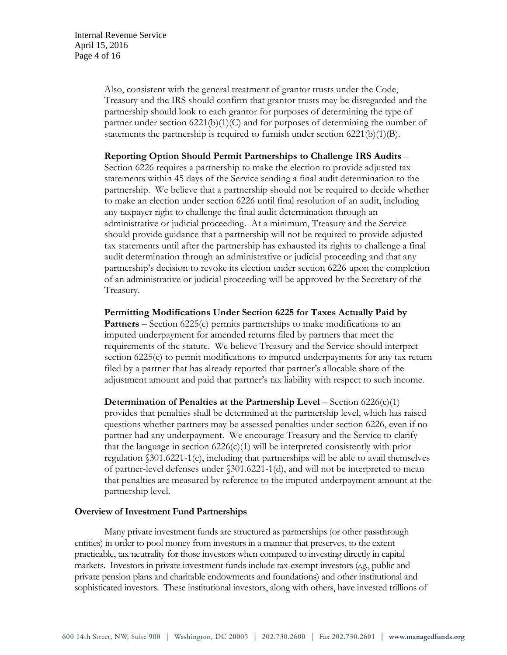Also, consistent with the general treatment of grantor trusts under the Code, Treasury and the IRS should confirm that grantor trusts may be disregarded and the partnership should look to each grantor for purposes of determining the type of partner under section 6221(b)(1)(C) and for purposes of determining the number of statements the partnership is required to furnish under section  $6221(b)(1)(B)$ .

#### **Reporting Option Should Permit Partnerships to Challenge IRS Audits** –

Section 6226 requires a partnership to make the election to provide adjusted tax statements within 45 days of the Service sending a final audit determination to the partnership. We believe that a partnership should not be required to decide whether to make an election under section 6226 until final resolution of an audit, including any taxpayer right to challenge the final audit determination through an administrative or judicial proceeding. At a minimum, Treasury and the Service should provide guidance that a partnership will not be required to provide adjusted tax statements until after the partnership has exhausted its rights to challenge a final audit determination through an administrative or judicial proceeding and that any partnership's decision to revoke its election under section 6226 upon the completion of an administrative or judicial proceeding will be approved by the Secretary of the Treasury.

**Permitting Modifications Under Section 6225 for Taxes Actually Paid by Partners** – Section 6225(c) permits partnerships to make modifications to an imputed underpayment for amended returns filed by partners that meet the requirements of the statute. We believe Treasury and the Service should interpret section 6225(c) to permit modifications to imputed underpayments for any tax return filed by a partner that has already reported that partner's allocable share of the adjustment amount and paid that partner's tax liability with respect to such income.

**Determination of Penalties at the Partnership Level** – Section 6226(c)(1) provides that penalties shall be determined at the partnership level, which has raised questions whether partners may be assessed penalties under section 6226, even if no partner had any underpayment. We encourage Treasury and the Service to clarify that the language in section  $6226(c)(1)$  will be interpreted consistently with prior regulation  $\S 301.6221 - 1(c)$ , including that partnerships will be able to avail themselves of partner-level defenses under §301.6221-1(d), and will not be interpreted to mean that penalties are measured by reference to the imputed underpayment amount at the partnership level.

#### **Overview of Investment Fund Partnerships**

Many private investment funds are structured as partnerships (or other passthrough entities) in order to pool money from investors in a manner that preserves, to the extent practicable, tax neutrality for those investors when compared to investing directly in capital markets. Investors in private investment funds include tax-exempt investors (*e.g*., public and private pension plans and charitable endowments and foundations) and other institutional and sophisticated investors. These institutional investors, along with others, have invested trillions of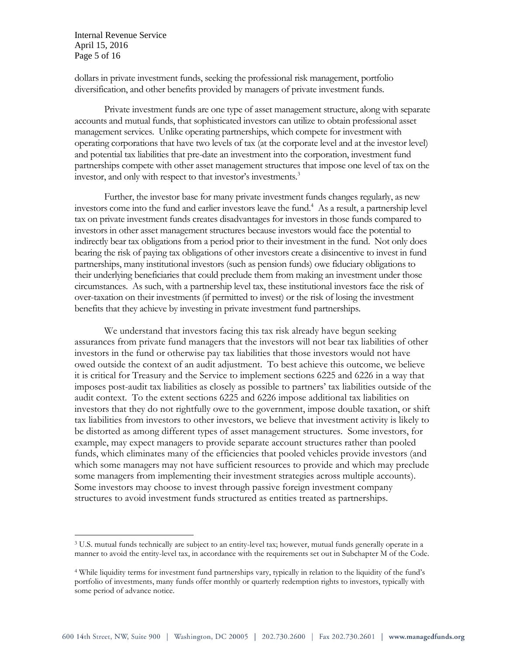Internal Revenue Service April 15, 2016 Page 5 of 16

 $\overline{a}$ 

dollars in private investment funds, seeking the professional risk management, portfolio diversification, and other benefits provided by managers of private investment funds.

Private investment funds are one type of asset management structure, along with separate accounts and mutual funds, that sophisticated investors can utilize to obtain professional asset management services. Unlike operating partnerships, which compete for investment with operating corporations that have two levels of tax (at the corporate level and at the investor level) and potential tax liabilities that pre-date an investment into the corporation, investment fund partnerships compete with other asset management structures that impose one level of tax on the investor, and only with respect to that investor's investments.<sup>3</sup>

Further, the investor base for many private investment funds changes regularly, as new investors come into the fund and earlier investors leave the fund.<sup>4</sup> As a result, a partnership level tax on private investment funds creates disadvantages for investors in those funds compared to investors in other asset management structures because investors would face the potential to indirectly bear tax obligations from a period prior to their investment in the fund. Not only does bearing the risk of paying tax obligations of other investors create a disincentive to invest in fund partnerships, many institutional investors (such as pension funds) owe fiduciary obligations to their underlying beneficiaries that could preclude them from making an investment under those circumstances. As such, with a partnership level tax, these institutional investors face the risk of over-taxation on their investments (if permitted to invest) or the risk of losing the investment benefits that they achieve by investing in private investment fund partnerships.

We understand that investors facing this tax risk already have begun seeking assurances from private fund managers that the investors will not bear tax liabilities of other investors in the fund or otherwise pay tax liabilities that those investors would not have owed outside the context of an audit adjustment. To best achieve this outcome, we believe it is critical for Treasury and the Service to implement sections 6225 and 6226 in a way that imposes post-audit tax liabilities as closely as possible to partners' tax liabilities outside of the audit context. To the extent sections 6225 and 6226 impose additional tax liabilities on investors that they do not rightfully owe to the government, impose double taxation, or shift tax liabilities from investors to other investors, we believe that investment activity is likely to be distorted as among different types of asset management structures. Some investors, for example, may expect managers to provide separate account structures rather than pooled funds, which eliminates many of the efficiencies that pooled vehicles provide investors (and which some managers may not have sufficient resources to provide and which may preclude some managers from implementing their investment strategies across multiple accounts). Some investors may choose to invest through passive foreign investment company structures to avoid investment funds structured as entities treated as partnerships.

<sup>3</sup> U.S. mutual funds technically are subject to an entity-level tax; however, mutual funds generally operate in a manner to avoid the entity-level tax, in accordance with the requirements set out in Subchapter M of the Code.

<sup>4</sup> While liquidity terms for investment fund partnerships vary, typically in relation to the liquidity of the fund's portfolio of investments, many funds offer monthly or quarterly redemption rights to investors, typically with some period of advance notice.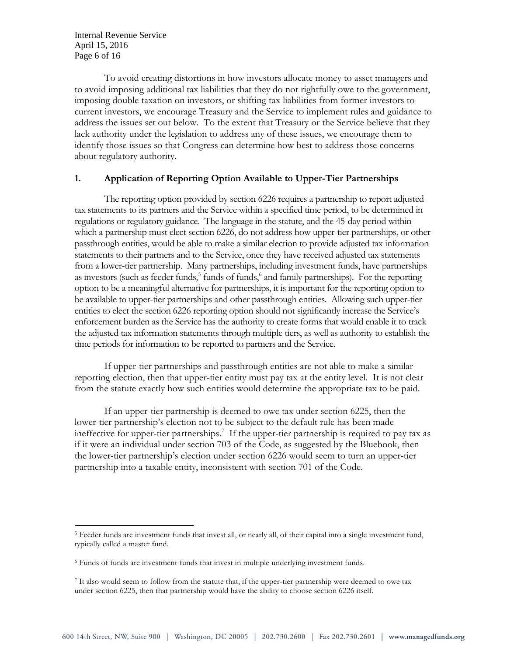Internal Revenue Service April 15, 2016 Page 6 of 16

 $\overline{a}$ 

To avoid creating distortions in how investors allocate money to asset managers and to avoid imposing additional tax liabilities that they do not rightfully owe to the government, imposing double taxation on investors, or shifting tax liabilities from former investors to current investors, we encourage Treasury and the Service to implement rules and guidance to address the issues set out below. To the extent that Treasury or the Service believe that they lack authority under the legislation to address any of these issues, we encourage them to identify those issues so that Congress can determine how best to address those concerns about regulatory authority.

# **1. Application of Reporting Option Available to Upper-Tier Partnerships**

The reporting option provided by section 6226 requires a partnership to report adjusted tax statements to its partners and the Service within a specified time period, to be determined in regulations or regulatory guidance. The language in the statute, and the 45-day period within which a partnership must elect section 6226, do not address how upper-tier partnerships, or other passthrough entities, would be able to make a similar election to provide adjusted tax information statements to their partners and to the Service, once they have received adjusted tax statements from a lower-tier partnership. Many partnerships, including investment funds, have partnerships as investors (such as feeder funds,<sup>5</sup> funds of funds,<sup>6</sup> and family partnerships). For the reporting option to be a meaningful alternative for partnerships, it is important for the reporting option to be available to upper-tier partnerships and other passthrough entities. Allowing such upper-tier entities to elect the section 6226 reporting option should not significantly increase the Service's enforcement burden as the Service has the authority to create forms that would enable it to track the adjusted tax information statements through multiple tiers, as well as authority to establish the time periods for information to be reported to partners and the Service.

If upper-tier partnerships and passthrough entities are not able to make a similar reporting election, then that upper-tier entity must pay tax at the entity level. It is not clear from the statute exactly how such entities would determine the appropriate tax to be paid.

If an upper-tier partnership is deemed to owe tax under section 6225, then the lower-tier partnership's election not to be subject to the default rule has been made ineffective for upper-tier partnerships.<sup>7</sup> If the upper-tier partnership is required to pay tax as if it were an individual under section 703 of the Code, as suggested by the Bluebook, then the lower-tier partnership's election under section 6226 would seem to turn an upper-tier partnership into a taxable entity, inconsistent with section 701 of the Code.

<sup>5</sup> Feeder funds are investment funds that invest all, or nearly all, of their capital into a single investment fund, typically called a master fund.

<sup>6</sup> Funds of funds are investment funds that invest in multiple underlying investment funds.

<sup>&</sup>lt;sup>7</sup> It also would seem to follow from the statute that, if the upper-tier partnership were deemed to owe tax under section 6225, then that partnership would have the ability to choose section 6226 itself.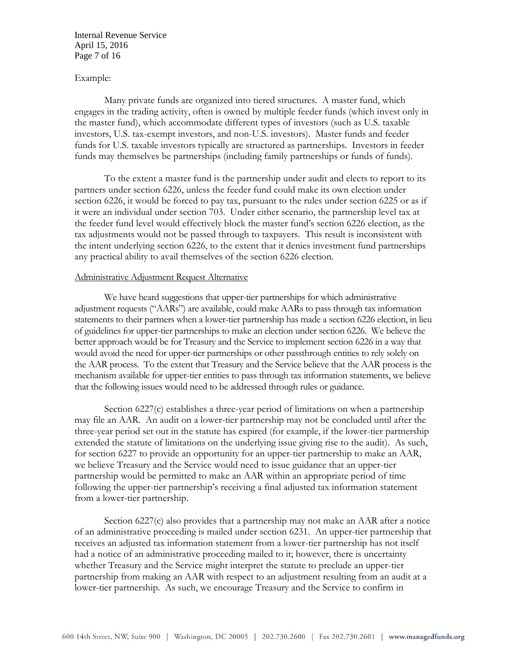Internal Revenue Service April 15, 2016 Page 7 of 16

### Example:

Many private funds are organized into tiered structures. A master fund, which engages in the trading activity, often is owned by multiple feeder funds (which invest only in the master fund), which accommodate different types of investors (such as U.S. taxable investors, U.S. tax-exempt investors, and non-U.S. investors). Master funds and feeder funds for U.S. taxable investors typically are structured as partnerships. Investors in feeder funds may themselves be partnerships (including family partnerships or funds of funds).

To the extent a master fund is the partnership under audit and elects to report to its partners under section 6226, unless the feeder fund could make its own election under section 6226, it would be forced to pay tax, pursuant to the rules under section 6225 or as if it were an individual under section 703. Under either scenario, the partnership level tax at the feeder fund level would effectively block the master fund's section 6226 election, as the tax adjustments would not be passed through to taxpayers. This result is inconsistent with the intent underlying section 6226, to the extent that it denies investment fund partnerships any practical ability to avail themselves of the section 6226 election.

#### Administrative Adjustment Request Alternative

We have heard suggestions that upper-tier partnerships for which administrative adjustment requests ("AARs") are available, could make AARs to pass through tax information statements to their partners when a lower-tier partnership has made a section 6226 election, in lieu of guidelines for upper-tier partnerships to make an election under section 6226. We believe the better approach would be for Treasury and the Service to implement section 6226 in a way that would avoid the need for upper-tier partnerships or other passthrough entities to rely solely on the AAR process. To the extent that Treasury and the Service believe that the AAR process is the mechanism available for upper-tier entities to pass through tax information statements, we believe that the following issues would need to be addressed through rules or guidance.

Section 6227(c) establishes a three-year period of limitations on when a partnership may file an AAR. An audit on a lower-tier partnership may not be concluded until after the three-year period set out in the statute has expired (for example, if the lower-tier partnership extended the statute of limitations on the underlying issue giving rise to the audit). As such, for section 6227 to provide an opportunity for an upper-tier partnership to make an AAR, we believe Treasury and the Service would need to issue guidance that an upper-tier partnership would be permitted to make an AAR within an appropriate period of time following the upper-tier partnership's receiving a final adjusted tax information statement from a lower-tier partnership.

Section 6227(c) also provides that a partnership may not make an AAR after a notice of an administrative proceeding is mailed under section 6231. An upper-tier partnership that receives an adjusted tax information statement from a lower-tier partnership has not itself had a notice of an administrative proceeding mailed to it; however, there is uncertainty whether Treasury and the Service might interpret the statute to preclude an upper-tier partnership from making an AAR with respect to an adjustment resulting from an audit at a lower-tier partnership. As such, we encourage Treasury and the Service to confirm in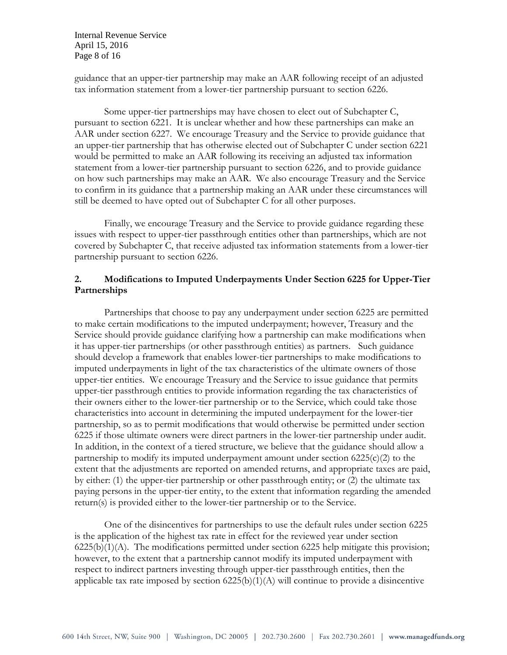Internal Revenue Service April 15, 2016 Page 8 of 16

guidance that an upper-tier partnership may make an AAR following receipt of an adjusted tax information statement from a lower-tier partnership pursuant to section 6226.

Some upper-tier partnerships may have chosen to elect out of Subchapter C, pursuant to section 6221. It is unclear whether and how these partnerships can make an AAR under section 6227. We encourage Treasury and the Service to provide guidance that an upper-tier partnership that has otherwise elected out of Subchapter C under section 6221 would be permitted to make an AAR following its receiving an adjusted tax information statement from a lower-tier partnership pursuant to section 6226, and to provide guidance on how such partnerships may make an AAR. We also encourage Treasury and the Service to confirm in its guidance that a partnership making an AAR under these circumstances will still be deemed to have opted out of Subchapter C for all other purposes.

Finally, we encourage Treasury and the Service to provide guidance regarding these issues with respect to upper-tier passthrough entities other than partnerships, which are not covered by Subchapter C, that receive adjusted tax information statements from a lower-tier partnership pursuant to section 6226.

# **2. Modifications to Imputed Underpayments Under Section 6225 for Upper-Tier Partnerships**

Partnerships that choose to pay any underpayment under section 6225 are permitted to make certain modifications to the imputed underpayment; however, Treasury and the Service should provide guidance clarifying how a partnership can make modifications when it has upper-tier partnerships (or other passthrough entities) as partners. Such guidance should develop a framework that enables lower-tier partnerships to make modifications to imputed underpayments in light of the tax characteristics of the ultimate owners of those upper-tier entities. We encourage Treasury and the Service to issue guidance that permits upper-tier passthrough entities to provide information regarding the tax characteristics of their owners either to the lower-tier partnership or to the Service, which could take those characteristics into account in determining the imputed underpayment for the lower-tier partnership, so as to permit modifications that would otherwise be permitted under section 6225 if those ultimate owners were direct partners in the lower-tier partnership under audit. In addition, in the context of a tiered structure, we believe that the guidance should allow a partnership to modify its imputed underpayment amount under section  $6225(c)(2)$  to the extent that the adjustments are reported on amended returns, and appropriate taxes are paid, by either: (1) the upper-tier partnership or other passthrough entity; or (2) the ultimate tax paying persons in the upper-tier entity, to the extent that information regarding the amended return(s) is provided either to the lower-tier partnership or to the Service.

One of the disincentives for partnerships to use the default rules under section 6225 is the application of the highest tax rate in effect for the reviewed year under section  $6225(b)(1)(A)$ . The modifications permitted under section 6225 help mitigate this provision; however, to the extent that a partnership cannot modify its imputed underpayment with respect to indirect partners investing through upper-tier passthrough entities, then the applicable tax rate imposed by section  $6225(b)(1)(A)$  will continue to provide a disincentive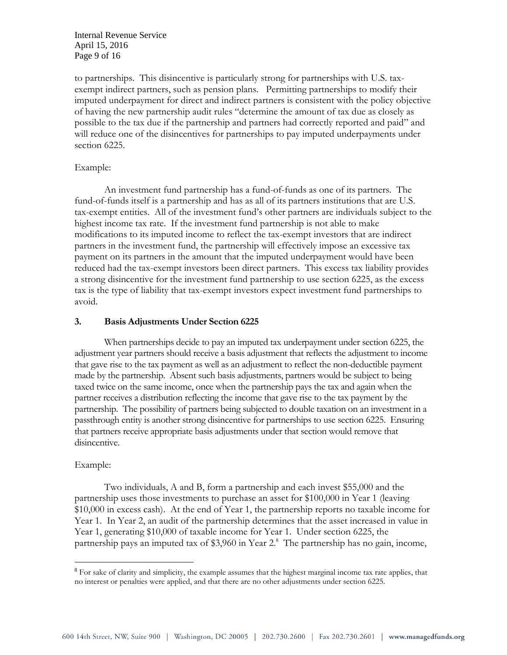Internal Revenue Service April 15, 2016 Page 9 of 16

to partnerships. This disincentive is particularly strong for partnerships with U.S. taxexempt indirect partners, such as pension plans. Permitting partnerships to modify their imputed underpayment for direct and indirect partners is consistent with the policy objective of having the new partnership audit rules "determine the amount of tax due as closely as possible to the tax due if the partnership and partners had correctly reported and paid" and will reduce one of the disincentives for partnerships to pay imputed underpayments under section 6225.

### Example:

An investment fund partnership has a fund-of-funds as one of its partners. The fund-of-funds itself is a partnership and has as all of its partners institutions that are U.S. tax-exempt entities. All of the investment fund's other partners are individuals subject to the highest income tax rate. If the investment fund partnership is not able to make modifications to its imputed income to reflect the tax-exempt investors that are indirect partners in the investment fund, the partnership will effectively impose an excessive tax payment on its partners in the amount that the imputed underpayment would have been reduced had the tax-exempt investors been direct partners. This excess tax liability provides a strong disincentive for the investment fund partnership to use section 6225, as the excess tax is the type of liability that tax-exempt investors expect investment fund partnerships to avoid.

### **3. Basis Adjustments Under Section 6225**

When partnerships decide to pay an imputed tax underpayment under section 6225, the adjustment year partners should receive a basis adjustment that reflects the adjustment to income that gave rise to the tax payment as well as an adjustment to reflect the non-deductible payment made by the partnership. Absent such basis adjustments, partners would be subject to being taxed twice on the same income, once when the partnership pays the tax and again when the partner receives a distribution reflecting the income that gave rise to the tax payment by the partnership. The possibility of partners being subjected to double taxation on an investment in a passthrough entity is another strong disincentive for partnerships to use section 6225. Ensuring that partners receive appropriate basis adjustments under that section would remove that disincentive.

#### Example:

 $\overline{a}$ 

Two individuals, A and B, form a partnership and each invest \$55,000 and the partnership uses those investments to purchase an asset for \$100,000 in Year 1 (leaving \$10,000 in excess cash). At the end of Year 1, the partnership reports no taxable income for Year 1. In Year 2, an audit of the partnership determines that the asset increased in value in Year 1, generating \$10,000 of taxable income for Year 1. Under section 6225, the partnership pays an imputed tax of \$3,960 in Year 2.<sup>8</sup> The partnership has no gain, income,

<sup>&</sup>lt;sup>8</sup> For sake of clarity and simplicity, the example assumes that the highest marginal income tax rate applies, that no interest or penalties were applied, and that there are no other adjustments under section 6225.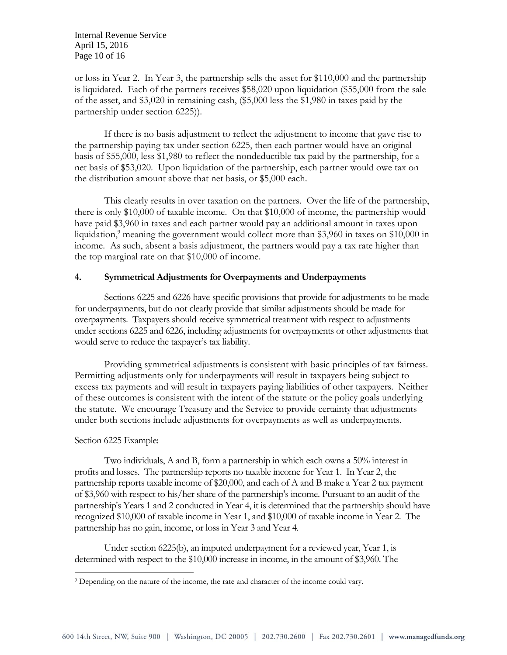Internal Revenue Service April 15, 2016 Page 10 of 16

or loss in Year 2. In Year 3, the partnership sells the asset for \$110,000 and the partnership is liquidated. Each of the partners receives \$58,020 upon liquidation (\$55,000 from the sale of the asset, and \$3,020 in remaining cash, (\$5,000 less the \$1,980 in taxes paid by the partnership under section 6225)).

If there is no basis adjustment to reflect the adjustment to income that gave rise to the partnership paying tax under section 6225, then each partner would have an original basis of \$55,000, less \$1,980 to reflect the nondeductible tax paid by the partnership, for a net basis of \$53,020. Upon liquidation of the partnership, each partner would owe tax on the distribution amount above that net basis, or \$5,000 each.

This clearly results in over taxation on the partners. Over the life of the partnership, there is only \$10,000 of taxable income. On that \$10,000 of income, the partnership would have paid \$3,960 in taxes and each partner would pay an additional amount in taxes upon liquidation,<sup>9</sup> meaning the government would collect more than \$3,960 in taxes on \$10,000 in income. As such, absent a basis adjustment, the partners would pay a tax rate higher than the top marginal rate on that \$10,000 of income.

### **4. Symmetrical Adjustments for Overpayments and Underpayments**

Sections 6225 and 6226 have specific provisions that provide for adjustments to be made for underpayments, but do not clearly provide that similar adjustments should be made for overpayments. Taxpayers should receive symmetrical treatment with respect to adjustments under sections 6225 and 6226, including adjustments for overpayments or other adjustments that would serve to reduce the taxpayer's tax liability.

Providing symmetrical adjustments is consistent with basic principles of tax fairness. Permitting adjustments only for underpayments will result in taxpayers being subject to excess tax payments and will result in taxpayers paying liabilities of other taxpayers. Neither of these outcomes is consistent with the intent of the statute or the policy goals underlying the statute. We encourage Treasury and the Service to provide certainty that adjustments under both sections include adjustments for overpayments as well as underpayments.

#### Section 6225 Example:

 $\overline{a}$ 

Two individuals, A and B, form a partnership in which each owns a 50% interest in profits and losses. The partnership reports no taxable income for Year 1. In Year 2, the partnership reports taxable income of \$20,000, and each of A and B make a Year 2 tax payment of \$3,960 with respect to his/her share of the partnership's income. Pursuant to an audit of the partnership's Years 1 and 2 conducted in Year 4, it is determined that the partnership should have recognized \$10,000 of taxable income in Year 1, and \$10,000 of taxable income in Year 2. The partnership has no gain, income, or loss in Year 3 and Year 4.

Under section 6225(b), an imputed underpayment for a reviewed year, Year 1, is determined with respect to the \$10,000 increase in income, in the amount of \$3,960. The

<sup>&</sup>lt;sup>9</sup> Depending on the nature of the income, the rate and character of the income could vary.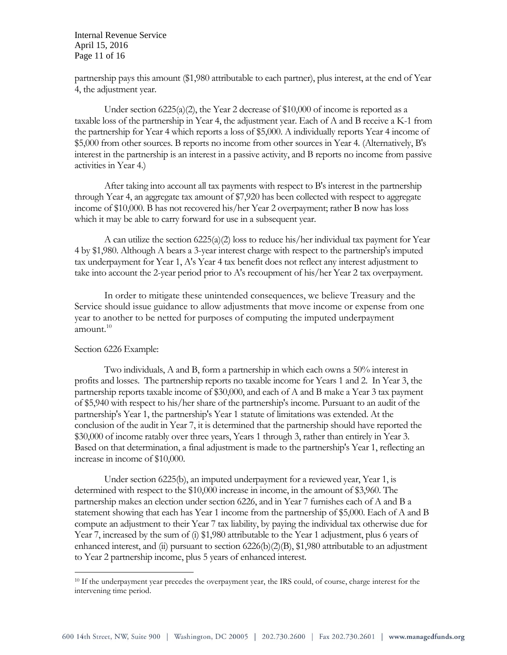Internal Revenue Service April 15, 2016 Page 11 of 16

partnership pays this amount (\$1,980 attributable to each partner), plus interest, at the end of Year 4, the adjustment year.

Under section 6225(a)(2), the Year 2 decrease of \$10,000 of income is reported as a taxable loss of the partnership in Year 4, the adjustment year. Each of A and B receive a K-1 from the partnership for Year 4 which reports a loss of \$5,000. A individually reports Year 4 income of \$5,000 from other sources. B reports no income from other sources in Year 4. (Alternatively, B's interest in the partnership is an interest in a passive activity, and B reports no income from passive activities in Year 4.)

After taking into account all tax payments with respect to B's interest in the partnership through Year 4, an aggregate tax amount of \$7,920 has been collected with respect to aggregate income of \$10,000. B has not recovered his/her Year 2 overpayment; rather B now has loss which it may be able to carry forward for use in a subsequent year.

A can utilize the section  $6225(a)(2)$  loss to reduce his/her individual tax payment for Year 4 by \$1,980. Although A bears a 3-year interest charge with respect to the partnership's imputed tax underpayment for Year 1, A's Year 4 tax benefit does not reflect any interest adjustment to take into account the 2-year period prior to A's recoupment of his/her Year 2 tax overpayment.

In order to mitigate these unintended consequences, we believe Treasury and the Service should issue guidance to allow adjustments that move income or expense from one year to another to be netted for purposes of computing the imputed underpayment amount. $10$ 

#### Section 6226 Example:

 $\overline{a}$ 

Two individuals, A and B, form a partnership in which each owns a 50% interest in profits and losses. The partnership reports no taxable income for Years 1 and 2. In Year 3, the partnership reports taxable income of \$30,000, and each of A and B make a Year 3 tax payment of \$5,940 with respect to his/her share of the partnership's income. Pursuant to an audit of the partnership's Year 1, the partnership's Year 1 statute of limitations was extended. At the conclusion of the audit in Year 7, it is determined that the partnership should have reported the \$30,000 of income ratably over three years, Years 1 through 3, rather than entirely in Year 3. Based on that determination, a final adjustment is made to the partnership's Year 1, reflecting an increase in income of \$10,000.

Under section 6225(b), an imputed underpayment for a reviewed year, Year 1, is determined with respect to the \$10,000 increase in income, in the amount of \$3,960. The partnership makes an election under section 6226, and in Year 7 furnishes each of A and B a statement showing that each has Year 1 income from the partnership of \$5,000. Each of A and B compute an adjustment to their Year 7 tax liability, by paying the individual tax otherwise due for Year 7, increased by the sum of (i) \$1,980 attributable to the Year 1 adjustment, plus 6 years of enhanced interest, and (ii) pursuant to section 6226(b)(2)(B), \$1,980 attributable to an adjustment to Year 2 partnership income, plus 5 years of enhanced interest.

<sup>10</sup> If the underpayment year precedes the overpayment year, the IRS could, of course, charge interest for the intervening time period.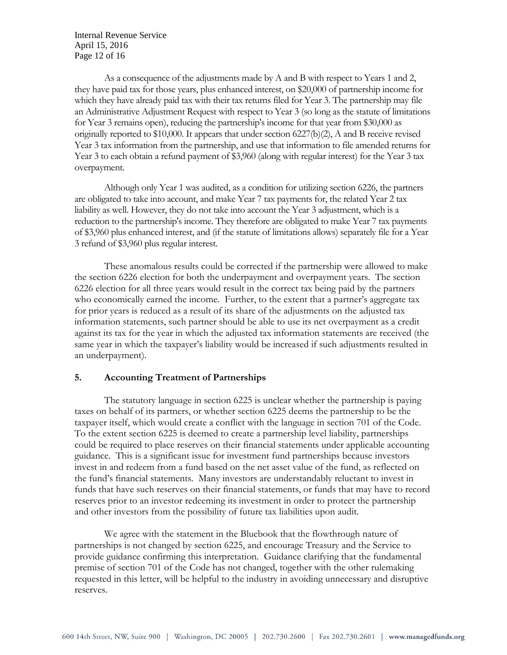Internal Revenue Service April 15, 2016 Page 12 of 16

As a consequence of the adjustments made by A and B with respect to Years 1 and 2, they have paid tax for those years, plus enhanced interest, on \$20,000 of partnership income for which they have already paid tax with their tax returns filed for Year 3. The partnership may file an Administrative Adjustment Request with respect to Year 3 (so long as the statute of limitations for Year 3 remains open), reducing the partnership's income for that year from \$30,000 as originally reported to \$10,000. It appears that under section 6227(b)(2), A and B receive revised Year 3 tax information from the partnership, and use that information to file amended returns for Year 3 to each obtain a refund payment of \$3,960 (along with regular interest) for the Year 3 tax overpayment.

Although only Year 1 was audited, as a condition for utilizing section 6226, the partners are obligated to take into account, and make Year 7 tax payments for, the related Year 2 tax liability as well. However, they do not take into account the Year 3 adjustment, which is a reduction to the partnership's income. They therefore are obligated to make Year 7 tax payments of \$3,960 plus enhanced interest, and (if the statute of limitations allows) separately file for a Year 3 refund of \$3,960 plus regular interest.

These anomalous results could be corrected if the partnership were allowed to make the section 6226 election for both the underpayment and overpayment years. The section 6226 election for all three years would result in the correct tax being paid by the partners who economically earned the income. Further, to the extent that a partner's aggregate tax for prior years is reduced as a result of its share of the adjustments on the adjusted tax information statements, such partner should be able to use its net overpayment as a credit against its tax for the year in which the adjusted tax information statements are received (the same year in which the taxpayer's liability would be increased if such adjustments resulted in an underpayment).

# **5. Accounting Treatment of Partnerships**

The statutory language in section 6225 is unclear whether the partnership is paying taxes on behalf of its partners, or whether section 6225 deems the partnership to be the taxpayer itself, which would create a conflict with the language in section 701 of the Code. To the extent section 6225 is deemed to create a partnership level liability, partnerships could be required to place reserves on their financial statements under applicable accounting guidance. This is a significant issue for investment fund partnerships because investors invest in and redeem from a fund based on the net asset value of the fund, as reflected on the fund's financial statements. Many investors are understandably reluctant to invest in funds that have such reserves on their financial statements, or funds that may have to record reserves prior to an investor redeeming its investment in order to protect the partnership and other investors from the possibility of future tax liabilities upon audit.

We agree with the statement in the Bluebook that the flowthrough nature of partnerships is not changed by section 6225, and encourage Treasury and the Service to provide guidance confirming this interpretation. Guidance clarifying that the fundamental premise of section 701 of the Code has not changed, together with the other rulemaking requested in this letter, will be helpful to the industry in avoiding unnecessary and disruptive reserves.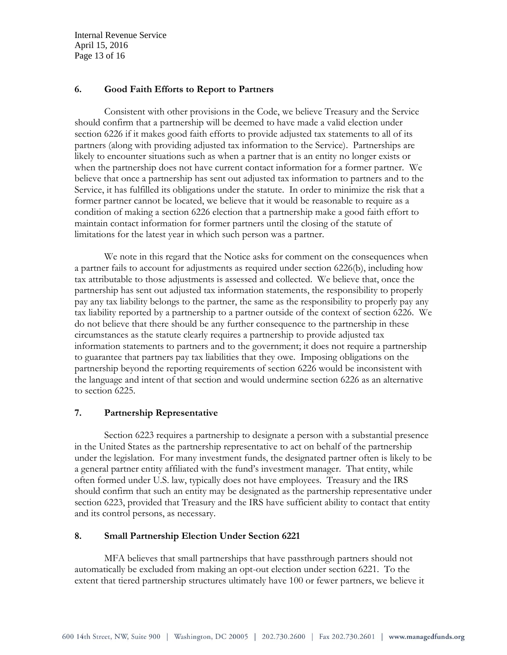Internal Revenue Service April 15, 2016 Page 13 of 16

# **6. Good Faith Efforts to Report to Partners**

Consistent with other provisions in the Code, we believe Treasury and the Service should confirm that a partnership will be deemed to have made a valid election under section 6226 if it makes good faith efforts to provide adjusted tax statements to all of its partners (along with providing adjusted tax information to the Service). Partnerships are likely to encounter situations such as when a partner that is an entity no longer exists or when the partnership does not have current contact information for a former partner. We believe that once a partnership has sent out adjusted tax information to partners and to the Service, it has fulfilled its obligations under the statute. In order to minimize the risk that a former partner cannot be located, we believe that it would be reasonable to require as a condition of making a section 6226 election that a partnership make a good faith effort to maintain contact information for former partners until the closing of the statute of limitations for the latest year in which such person was a partner.

We note in this regard that the Notice asks for comment on the consequences when a partner fails to account for adjustments as required under section 6226(b), including how tax attributable to those adjustments is assessed and collected. We believe that, once the partnership has sent out adjusted tax information statements, the responsibility to properly pay any tax liability belongs to the partner, the same as the responsibility to properly pay any tax liability reported by a partnership to a partner outside of the context of section 6226. We do not believe that there should be any further consequence to the partnership in these circumstances as the statute clearly requires a partnership to provide adjusted tax information statements to partners and to the government; it does not require a partnership to guarantee that partners pay tax liabilities that they owe. Imposing obligations on the partnership beyond the reporting requirements of section 6226 would be inconsistent with the language and intent of that section and would undermine section 6226 as an alternative to section 6225.

# **7. Partnership Representative**

Section 6223 requires a partnership to designate a person with a substantial presence in the United States as the partnership representative to act on behalf of the partnership under the legislation. For many investment funds, the designated partner often is likely to be a general partner entity affiliated with the fund's investment manager. That entity, while often formed under U.S. law, typically does not have employees. Treasury and the IRS should confirm that such an entity may be designated as the partnership representative under section 6223, provided that Treasury and the IRS have sufficient ability to contact that entity and its control persons, as necessary.

# **8. Small Partnership Election Under Section 6221**

MFA believes that small partnerships that have passthrough partners should not automatically be excluded from making an opt-out election under section 6221. To the extent that tiered partnership structures ultimately have 100 or fewer partners, we believe it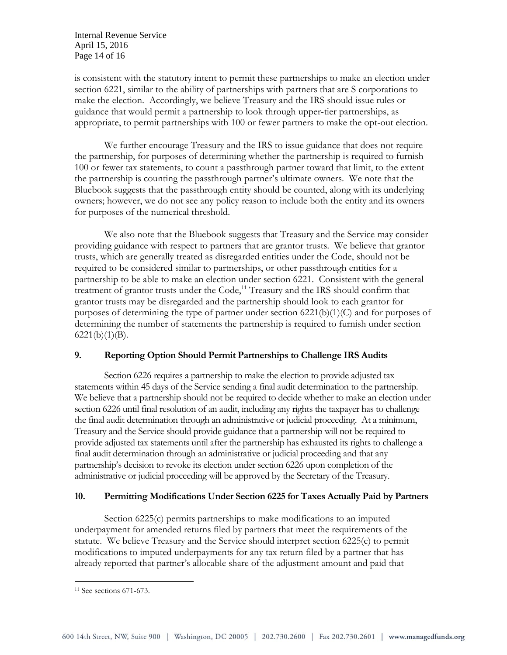Internal Revenue Service April 15, 2016 Page 14 of 16

is consistent with the statutory intent to permit these partnerships to make an election under section 6221, similar to the ability of partnerships with partners that are S corporations to make the election. Accordingly, we believe Treasury and the IRS should issue rules or guidance that would permit a partnership to look through upper-tier partnerships, as appropriate, to permit partnerships with 100 or fewer partners to make the opt-out election.

We further encourage Treasury and the IRS to issue guidance that does not require the partnership, for purposes of determining whether the partnership is required to furnish 100 or fewer tax statements, to count a passthrough partner toward that limit, to the extent the partnership is counting the passthrough partner's ultimate owners. We note that the Bluebook suggests that the passthrough entity should be counted, along with its underlying owners; however, we do not see any policy reason to include both the entity and its owners for purposes of the numerical threshold.

We also note that the Bluebook suggests that Treasury and the Service may consider providing guidance with respect to partners that are grantor trusts. We believe that grantor trusts, which are generally treated as disregarded entities under the Code, should not be required to be considered similar to partnerships, or other passthrough entities for a partnership to be able to make an election under section 6221. Consistent with the general treatment of grantor trusts under the Code,<sup>11</sup> Treasury and the IRS should confirm that grantor trusts may be disregarded and the partnership should look to each grantor for purposes of determining the type of partner under section  $6221(b)(1)(C)$  and for purposes of determining the number of statements the partnership is required to furnish under section  $6221(b)(1)(B)$ .

# **9. Reporting Option Should Permit Partnerships to Challenge IRS Audits**

Section 6226 requires a partnership to make the election to provide adjusted tax statements within 45 days of the Service sending a final audit determination to the partnership. We believe that a partnership should not be required to decide whether to make an election under section 6226 until final resolution of an audit, including any rights the taxpayer has to challenge the final audit determination through an administrative or judicial proceeding. At a minimum, Treasury and the Service should provide guidance that a partnership will not be required to provide adjusted tax statements until after the partnership has exhausted its rights to challenge a final audit determination through an administrative or judicial proceeding and that any partnership's decision to revoke its election under section 6226 upon completion of the administrative or judicial proceeding will be approved by the Secretary of the Treasury.

# **10. Permitting Modifications Under Section 6225 for Taxes Actually Paid by Partners**

Section 6225(c) permits partnerships to make modifications to an imputed underpayment for amended returns filed by partners that meet the requirements of the statute. We believe Treasury and the Service should interpret section 6225(c) to permit modifications to imputed underpayments for any tax return filed by a partner that has already reported that partner's allocable share of the adjustment amount and paid that

 $\overline{a}$ 

<sup>11</sup> See sections 671-673.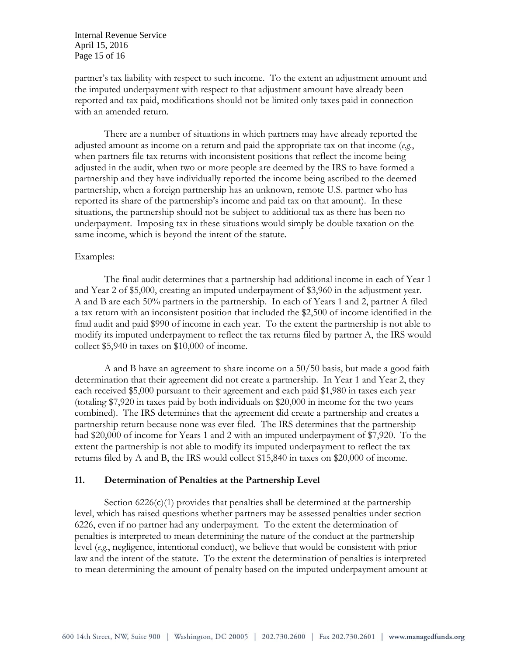Internal Revenue Service April 15, 2016 Page 15 of 16

partner's tax liability with respect to such income. To the extent an adjustment amount and the imputed underpayment with respect to that adjustment amount have already been reported and tax paid, modifications should not be limited only taxes paid in connection with an amended return.

There are a number of situations in which partners may have already reported the adjusted amount as income on a return and paid the appropriate tax on that income (*e.g*., when partners file tax returns with inconsistent positions that reflect the income being adjusted in the audit, when two or more people are deemed by the IRS to have formed a partnership and they have individually reported the income being ascribed to the deemed partnership, when a foreign partnership has an unknown, remote U.S. partner who has reported its share of the partnership's income and paid tax on that amount). In these situations, the partnership should not be subject to additional tax as there has been no underpayment. Imposing tax in these situations would simply be double taxation on the same income, which is beyond the intent of the statute.

### Examples:

The final audit determines that a partnership had additional income in each of Year 1 and Year 2 of \$5,000, creating an imputed underpayment of \$3,960 in the adjustment year. A and B are each 50% partners in the partnership. In each of Years 1 and 2, partner A filed a tax return with an inconsistent position that included the \$2,500 of income identified in the final audit and paid \$990 of income in each year. To the extent the partnership is not able to modify its imputed underpayment to reflect the tax returns filed by partner A, the IRS would collect \$5,940 in taxes on \$10,000 of income.

A and B have an agreement to share income on a 50/50 basis, but made a good faith determination that their agreement did not create a partnership. In Year 1 and Year 2, they each received \$5,000 pursuant to their agreement and each paid \$1,980 in taxes each year (totaling \$7,920 in taxes paid by both individuals on \$20,000 in income for the two years combined). The IRS determines that the agreement did create a partnership and creates a partnership return because none was ever filed. The IRS determines that the partnership had \$20,000 of income for Years 1 and 2 with an imputed underpayment of \$7,920. To the extent the partnership is not able to modify its imputed underpayment to reflect the tax returns filed by A and B, the IRS would collect \$15,840 in taxes on \$20,000 of income.

#### **11. Determination of Penalties at the Partnership Level**

Section  $6226(c)(1)$  provides that penalties shall be determined at the partnership level, which has raised questions whether partners may be assessed penalties under section 6226, even if no partner had any underpayment. To the extent the determination of penalties is interpreted to mean determining the nature of the conduct at the partnership level (*e.g*., negligence, intentional conduct), we believe that would be consistent with prior law and the intent of the statute. To the extent the determination of penalties is interpreted to mean determining the amount of penalty based on the imputed underpayment amount at